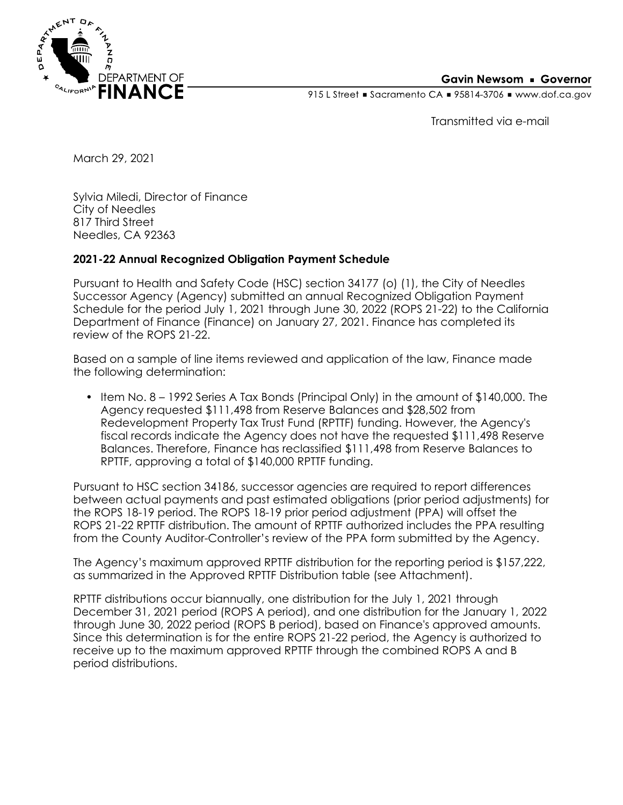

## **Gavin Newsom • Governor**

915 L Street Gacramento CA = 95814-3706 Www.dof.ca.gov

Transmitted via e-mail

March 29, 2021

Sylvia Miledi, Director of Finance City of Needles 817 Third Street Needles, CA 92363

## **2021-22 Annual Recognized Obligation Payment Schedule**

Pursuant to Health and Safety Code (HSC) section 34177 (o) (1), the City of Needles Successor Agency (Agency) submitted an annual Recognized Obligation Payment Schedule for the period July 1, 2021 through June 30, 2022 (ROPS 21-22) to the California Department of Finance (Finance) on January 27, 2021. Finance has completed its review of the ROPS 21-22.

Based on a sample of line items reviewed and application of the law, Finance made the following determination:

• Item No. 8 *–* 1992 Series A Tax Bonds (Principal Only) in the amount of \$140,000. The Agency requested \$111,498 from Reserve Balances and \$28,502 from Redevelopment Property Tax Trust Fund (RPTTF) funding. However, the Agency's fiscal records indicate the Agency does not have the requested \$111,498 Reserve Balances. Therefore, Finance has reclassified \$111,498 from Reserve Balances to RPTTF, approving a total of \$140,000 RPTTF funding.

Pursuant to HSC section 34186, successor agencies are required to report differences between actual payments and past estimated obligations (prior period adjustments) for the ROPS 18-19 period. The ROPS 18-19 prior period adjustment (PPA) will offset the ROPS 21-22 RPTTF distribution. The amount of RPTTF authorized includes the PPA resulting from the County Auditor-Controller's review of the PPA form submitted by the Agency.

The Agency's maximum approved RPTTF distribution for the reporting period is \$157,222, as summarized in the Approved RPTTF Distribution table (see Attachment).

RPTTF distributions occur biannually, one distribution for the July 1, 2021 through December 31, 2021 period (ROPS A period), and one distribution for the January 1, 2022 through June 30, 2022 period (ROPS B period), based on Finance's approved amounts. Since this determination is for the entire ROPS 21-22 period, the Agency is authorized to receive up to the maximum approved RPTTF through the combined ROPS A and B period distributions.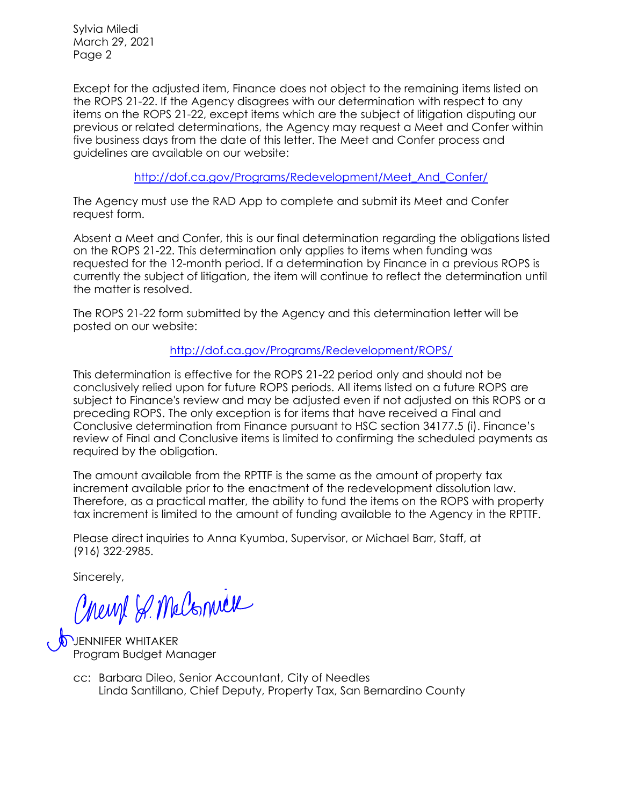Sylvia Miledi March 29, 2021 Page 2

Except for the adjusted item, Finance does not object to the remaining items listed on the ROPS 21-22. If the Agency disagrees with our determination with respect to any items on the ROPS 21-22, except items which are the subject of litigation disputing our previous or related determinations, the Agency may request a Meet and Confer within five business days from the date of this letter. The Meet and Confer process and guidelines are available on our website:

[http://dof.ca.gov/Programs/Redevelopment/Meet\\_And\\_Confer/](http://dof.ca.gov/Programs/Redevelopment/Meet_And_Confer/) 

The Agency must use the RAD App to complete and submit its Meet and Confer request form.

Absent a Meet and Confer, this is our final determination regarding the obligations listed on the ROPS 21-22. This determination only applies to items when funding was requested for the 12-month period. If a determination by Finance in a previous ROPS is currently the subject of litigation, the item will continue to reflect the determination until the matter is resolved.

The ROPS 21-22 form submitted by the Agency and this determination letter will be posted on our website:

<http://dof.ca.gov/Programs/Redevelopment/ROPS/>

This determination is effective for the ROPS 21-22 period only and should not be conclusively relied upon for future ROPS periods. All items listed on a future ROPS are subject to Finance's review and may be adjusted even if not adjusted on this ROPS or a preceding ROPS. The only exception is for items that have received a Final and Conclusive determination from Finance pursuant to HSC section 34177.5 (i). Finance's review of Final and Conclusive items is limited to confirming the scheduled payments as required by the obligation.

The amount available from the RPTTF is the same as the amount of property tax increment available prior to the enactment of the redevelopment dissolution law. Therefore, as a practical matter, the ability to fund the items on the ROPS with property tax increment is limited to the amount of funding available to the Agency in the RPTTF.

Please direct inquiries to Anna Kyumba, Supervisor, or Michael Barr, Staff, at (916) 322-2985.

Sincerely,

Chemp & McConnex

**JUENNIFER WHITAKER** Program Budget Manager

Linda Santillano, Chief Deputy, Property Tax, San Bernardino County cc: Barbara Dileo, Senior Accountant, City of Needles